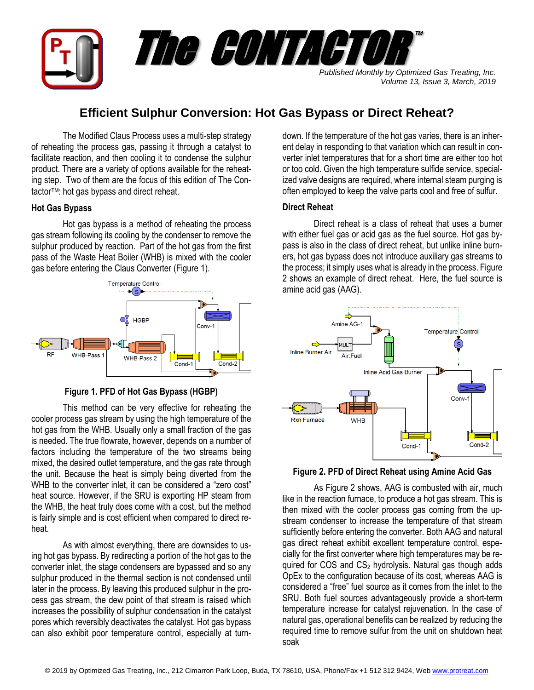

# **Efficient Sulphur Conversion: Hot Gas Bypass or Direct Reheat?**

The Modified Claus Process uses a multi-step strategy of reheating the process gas, passing it through a catalyst to facilitate reaction, and then cooling it to condense the sulphur product. There are a variety of options available for the reheating step. Two of them are the focus of this edition of The Contactor<sup>™</sup>: hot gas bypass and direct reheat.

## **Hot Gas Bypass**

Hot gas bypass is a method of reheating the process gas stream following its cooling by the condenser to remove the sulphur produced by reaction. Part of the hot gas from the first pass of the Waste Heat Boiler (WHB) is mixed with the cooler gas before entering the Claus Converter (Figure 1).



**Figure 1. PFD of Hot Gas Bypass (HGBP)**

This method can be very effective for reheating the cooler process gas stream by using the high temperature of the hot gas from the WHB. Usually only a small fraction of the gas is needed. The true flowrate, however, depends on a number of factors including the temperature of the two streams being mixed, the desired outlet temperature, and the gas rate through the unit. Because the heat is simply being diverted from the WHB to the converter inlet, it can be considered a "zero cost" heat source. However, if the SRU is exporting HP steam from the WHB, the heat truly does come with a cost, but the method is fairly simple and is cost efficient when compared to direct reheat.

As with almost everything, there are downsides to using hot gas bypass. By redirecting a portion of the hot gas to the converter inlet, the stage condensers are bypassed and so any sulphur produced in the thermal section is not condensed until later in the process. By leaving this produced sulphur in the process gas stream, the dew point of that stream is raised which increases the possibility of sulphur condensation in the catalyst pores which reversibly deactivates the catalyst. Hot gas bypass can also exhibit poor temperature control, especially at turndown. If the temperature of the hot gas varies, there is an inherent delay in responding to that variation which can result in converter inlet temperatures that for a short time are either too hot or too cold. Given the high temperature sulfide service, specialized valve designs are required, where internal steam purging is often employed to keep the valve parts cool and free of sulfur.

## **Direct Reheat**

Direct reheat is a class of reheat that uses a burner with either fuel gas or acid gas as the fuel source. Hot gas bypass is also in the class of direct reheat, but unlike inline burners, hot gas bypass does not introduce auxiliary gas streams to the process; it simply uses what is already in the process. Figure 2 shows an example of direct reheat. Here, the fuel source is amine acid gas (AAG).





As Figure 2 shows, AAG is combusted with air, much like in the reaction furnace, to produce a hot gas stream. This is then mixed with the cooler process gas coming from the upstream condenser to increase the temperature of that stream sufficiently before entering the converter. Both AAG and natural gas direct reheat exhibit excellent temperature control, especially for the first converter where high temperatures may be required for COS and  $CS<sub>2</sub>$  hydrolysis. Natural gas though adds OpEx to the configuration because of its cost, whereas AAG is considered a "free" fuel source as it comes from the inlet to the SRU. Both fuel sources advantageously provide a short-term temperature increase for catalyst rejuvenation. In the case of natural gas, operational benefits can be realized by reducing the required time to remove sulfur from the unit on shutdown heat soak